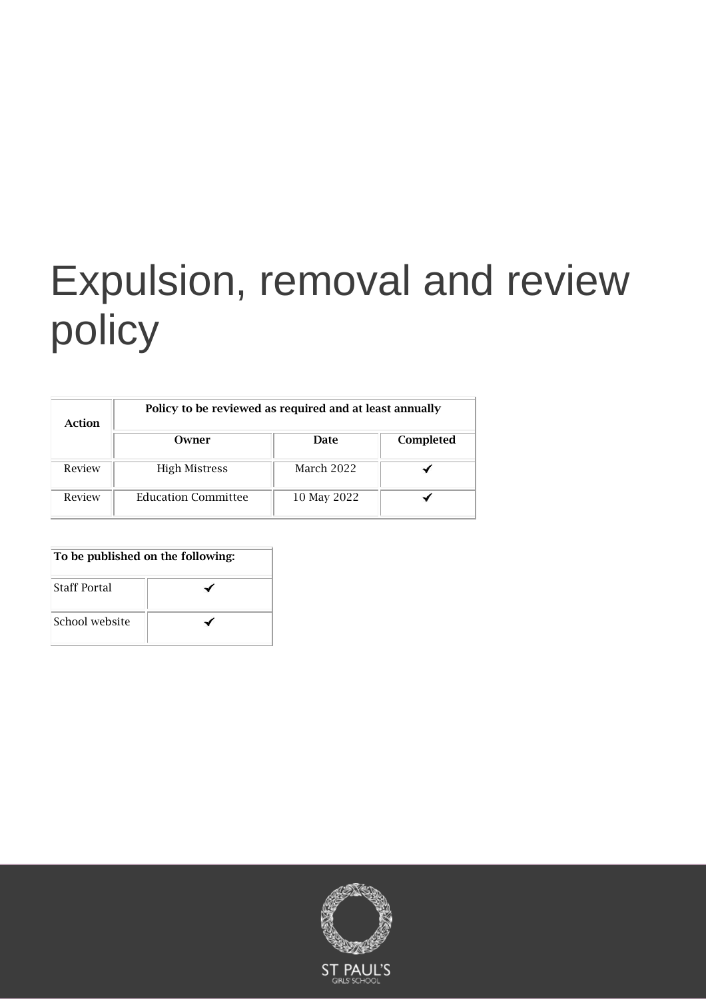# Expulsion, removal and review policy

| Action | Policy to be reviewed as required and at least annually |             |           |
|--------|---------------------------------------------------------|-------------|-----------|
|        | Owner                                                   | Date        | Completed |
| Review | <b>High Mistress</b>                                    | March 2022  |           |
| Review | <b>Education Committee</b>                              | 10 May 2022 |           |

| To be published on the following: |  |  |
|-----------------------------------|--|--|
| <b>Staff Portal</b>               |  |  |
| School website                    |  |  |

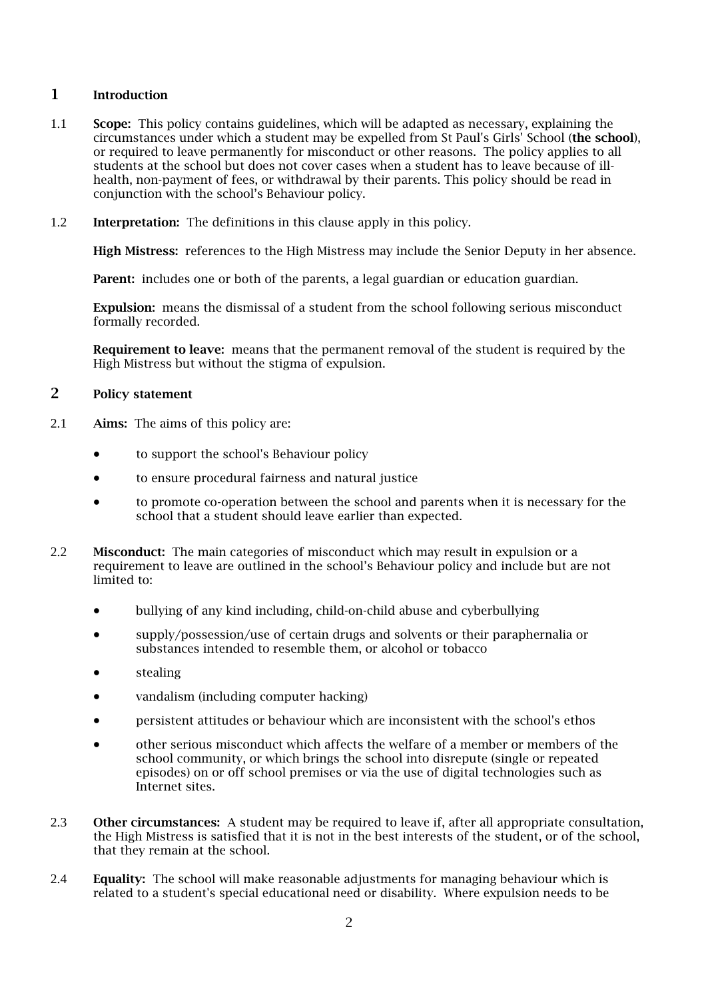#### 1 Introduction

- 1.1 Scope: This policy contains guidelines, which will be adapted as necessary, explaining the circumstances under which a student may be expelled from St Paul's Girls' School (the school), or required to leave permanently for misconduct or other reasons. The policy applies to all students at the school but does not cover cases when a student has to leave because of illhealth, non-payment of fees, or withdrawal by their parents. This policy should be read in conjunction with the school's Behaviour policy.
- 1.2 Interpretation: The definitions in this clause apply in this policy.

High Mistress: references to the High Mistress may include the Senior Deputy in her absence.

Parent: includes one or both of the parents, a legal guardian or education guardian.

Expulsion: means the dismissal of a student from the school following serious misconduct formally recorded.

Requirement to leave: means that the permanent removal of the student is required by the High Mistress but without the stigma of expulsion.

#### 2 Policy statement

- 2.1 Aims: The aims of this policy are:
	- to support the school's Behaviour policy
	- to ensure procedural fairness and natural justice
	- to promote co-operation between the school and parents when it is necessary for the school that a student should leave earlier than expected.
- 2.2 Misconduct: The main categories of misconduct which may result in expulsion or a requirement to leave are outlined in the school's Behaviour policy and include but are not limited to:
	- bullying of any kind including, child-on-child abuse and cyberbullying
	- supply/possession/use of certain drugs and solvents or their paraphernalia or substances intended to resemble them, or alcohol or tobacco
	- stealing
	- vandalism (including computer hacking)
	- persistent attitudes or behaviour which are inconsistent with the school's ethos
	- other serious misconduct which affects the welfare of a member or members of the school community, or which brings the school into disrepute (single or repeated episodes) on or off school premises or via the use of digital technologies such as Internet sites.
- 2.3 Other circumstances: A student may be required to leave if, after all appropriate consultation, the High Mistress is satisfied that it is not in the best interests of the student, or of the school, that they remain at the school.
- 2.4 Equality: The school will make reasonable adjustments for managing behaviour which is related to a student's special educational need or disability. Where expulsion needs to be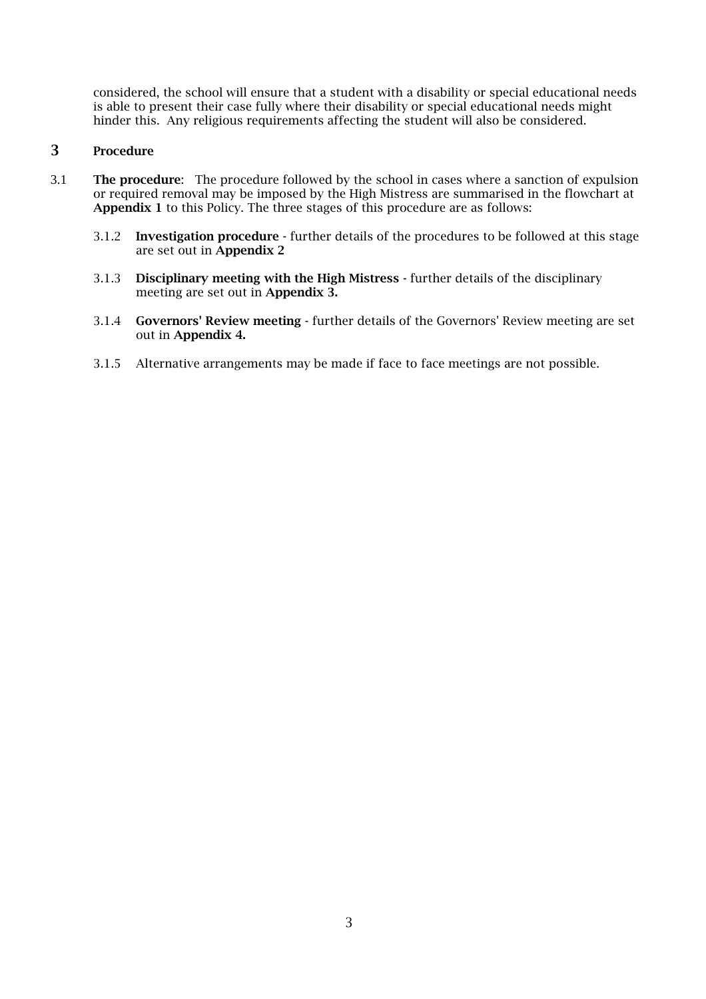considered, the school will ensure that a student with a disability or special educational needs is able to present their case fully where their disability or special educational needs might hinder this. Any religious requirements affecting the student will also be considered.

#### 3 Procedure

- 3.1 The procedure: The procedure followed by the school in cases where a sanction of expulsion or required removal may be imposed by the High Mistress are summarised in the flowchart at Appendix 1 to this Policy. The three stages of this procedure are as follows:
	- 3.1.2 Investigation procedure further details of the procedures to be followed at this stage are set out in Appendix 2
	- 3.1.3 Disciplinary meeting with the High Mistress further details of the disciplinary meeting are set out in Appendix 3.
	- 3.1.4 Governors' Review meeting further details of the Governors' Review meeting are set out in Appendix 4.
	- 3.1.5 Alternative arrangements may be made if face to face meetings are not possible.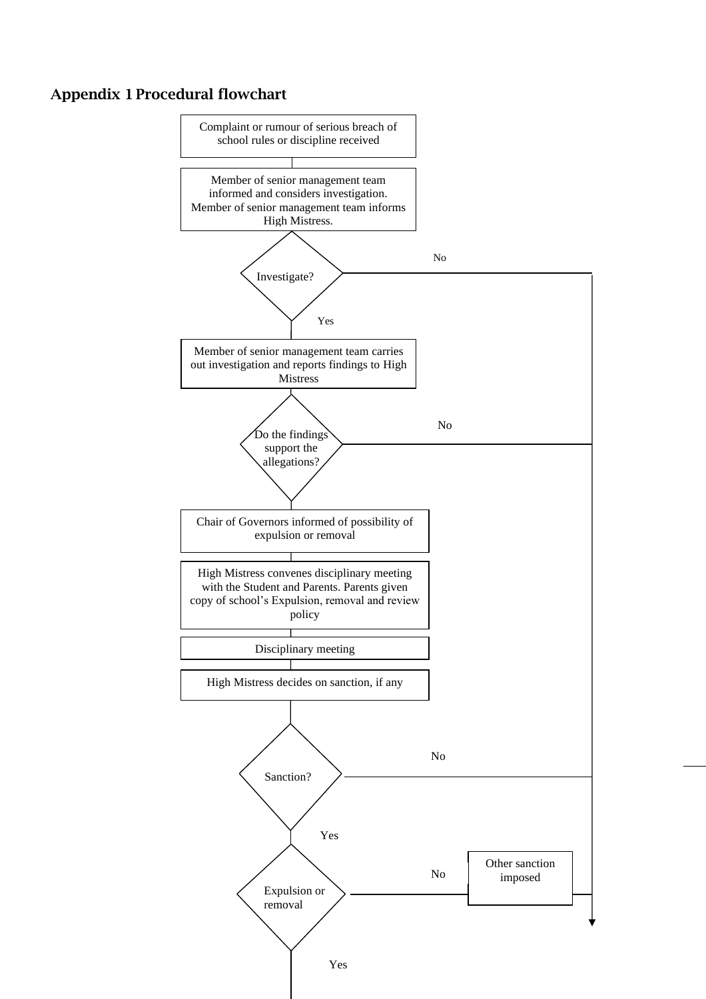## Appendix 1 Procedural flowchart

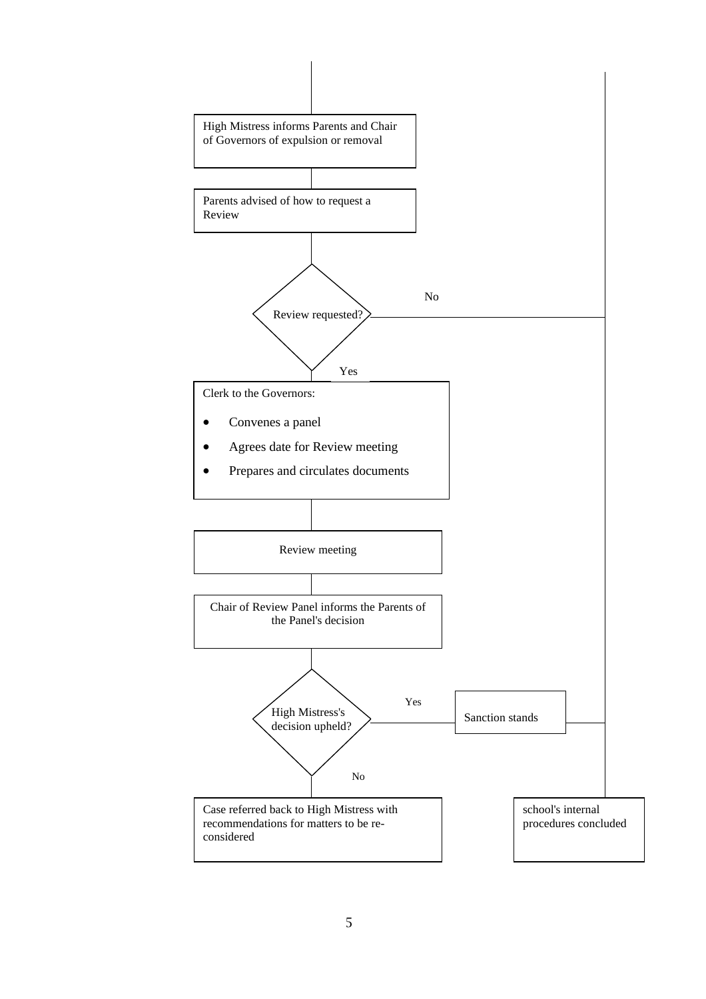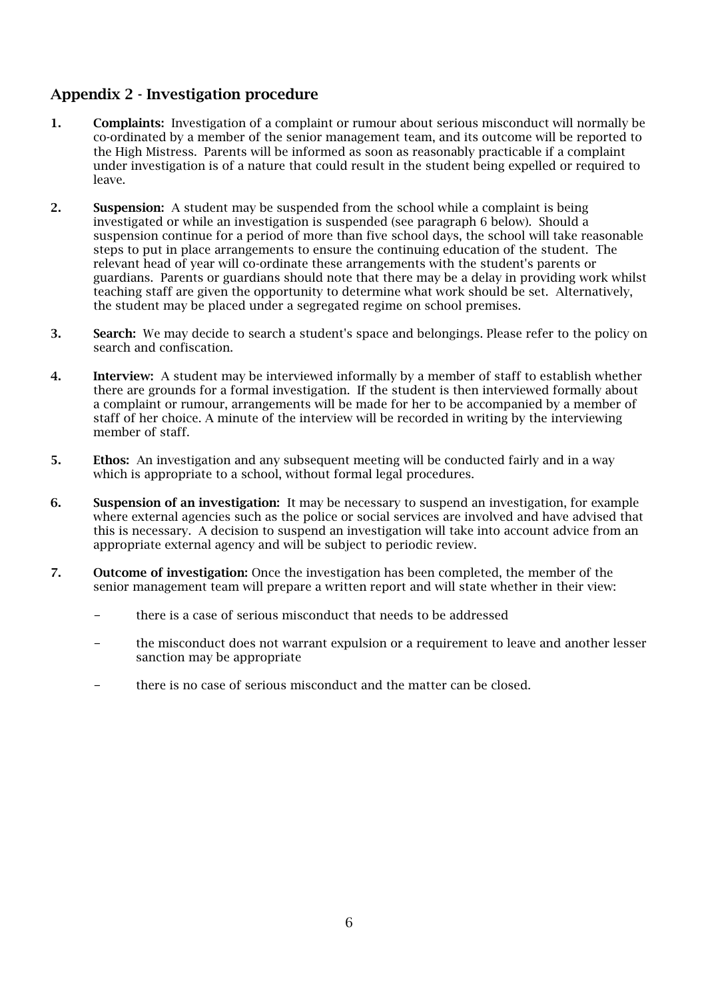## Appendix 2 - Investigation procedure

- 1. Complaints: Investigation of a complaint or rumour about serious misconduct will normally be co-ordinated by a member of the senior management team, and its outcome will be reported to the High Mistress. Parents will be informed as soon as reasonably practicable if a complaint under investigation is of a nature that could result in the student being expelled or required to leave.
- 2. Suspension: A student may be suspended from the school while a complaint is being investigated or while an investigation is suspended (see paragraph 6 below). Should a suspension continue for a period of more than five school days, the school will take reasonable steps to put in place arrangements to ensure the continuing education of the student. The relevant head of year will co-ordinate these arrangements with the student's parents or guardians. Parents or guardians should note that there may be a delay in providing work whilst teaching staff are given the opportunity to determine what work should be set. Alternatively, the student may be placed under a segregated regime on school premises.
- 3. Search: We may decide to search a student's space and belongings. Please refer to the policy on search and confiscation.
- 4. Interview: A student may be interviewed informally by a member of staff to establish whether there are grounds for a formal investigation. If the student is then interviewed formally about a complaint or rumour, arrangements will be made for her to be accompanied by a member of staff of her choice. A minute of the interview will be recorded in writing by the interviewing member of staff.
- 5. Ethos: An investigation and any subsequent meeting will be conducted fairly and in a way which is appropriate to a school, without formal legal procedures.
- 6. Suspension of an investigation: It may be necessary to suspend an investigation, for example where external agencies such as the police or social services are involved and have advised that this is necessary. A decision to suspend an investigation will take into account advice from an appropriate external agency and will be subject to periodic review.
- 7. Outcome of investigation: Once the investigation has been completed, the member of the senior management team will prepare a written report and will state whether in their view:
	- there is a case of serious misconduct that needs to be addressed
	- the misconduct does not warrant expulsion or a requirement to leave and another lesser sanction may be appropriate
	- there is no case of serious misconduct and the matter can be closed.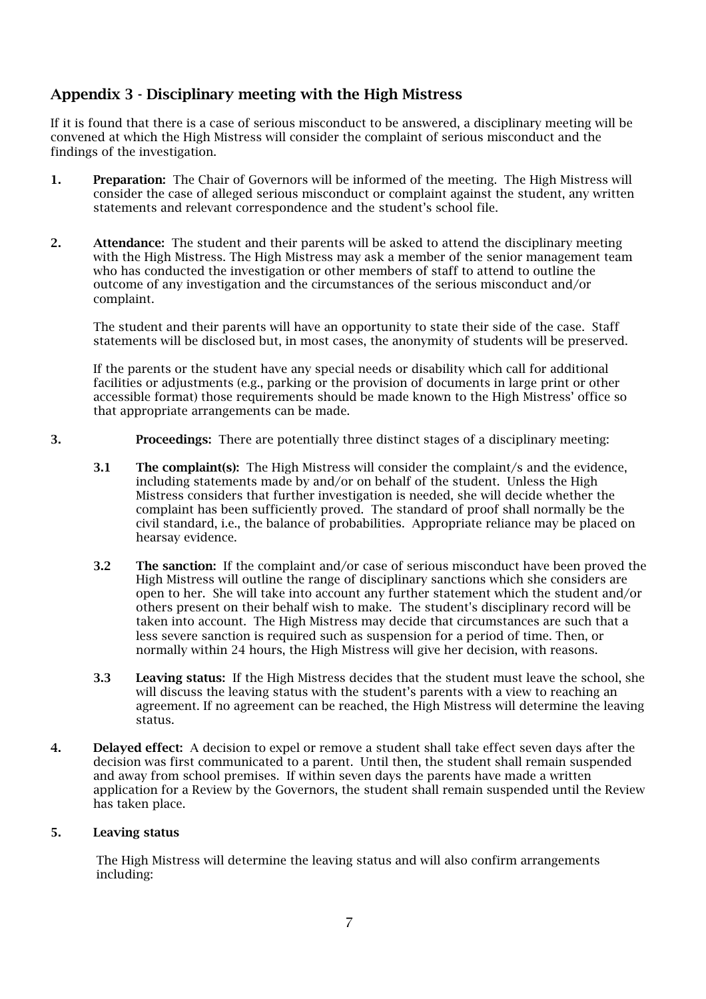## Appendix 3 - Disciplinary meeting with the High Mistress

If it is found that there is a case of serious misconduct to be answered, a disciplinary meeting will be convened at which the High Mistress will consider the complaint of serious misconduct and the findings of the investigation.

- 1. Preparation: The Chair of Governors will be informed of the meeting. The High Mistress will consider the case of alleged serious misconduct or complaint against the student, any written statements and relevant correspondence and the student's school file.
- 2. Attendance: The student and their parents will be asked to attend the disciplinary meeting with the High Mistress. The High Mistress may ask a member of the senior management team who has conducted the investigation or other members of staff to attend to outline the outcome of any investigation and the circumstances of the serious misconduct and/or complaint.

The student and their parents will have an opportunity to state their side of the case. Staff statements will be disclosed but, in most cases, the anonymity of students will be preserved.

If the parents or the student have any special needs or disability which call for additional facilities or adjustments (e.g., parking or the provision of documents in large print or other accessible format) those requirements should be made known to the High Mistress' office so that appropriate arrangements can be made.

- 3. Proceedings: There are potentially three distinct stages of a disciplinary meeting:
	- 3.1 The complaint(s): The High Mistress will consider the complaint/s and the evidence, including statements made by and/or on behalf of the student. Unless the High Mistress considers that further investigation is needed, she will decide whether the complaint has been sufficiently proved. The standard of proof shall normally be the civil standard, i.e., the balance of probabilities. Appropriate reliance may be placed on hearsay evidence.
	- 3.2 The sanction: If the complaint and/or case of serious misconduct have been proved the High Mistress will outline the range of disciplinary sanctions which she considers are open to her. She will take into account any further statement which the student and/or others present on their behalf wish to make. The student's disciplinary record will be taken into account. The High Mistress may decide that circumstances are such that a less severe sanction is required such as suspension for a period of time. Then, or normally within 24 hours, the High Mistress will give her decision, with reasons.
	- 3.3 Leaving status: If the High Mistress decides that the student must leave the school, she will discuss the leaving status with the student's parents with a view to reaching an agreement. If no agreement can be reached, the High Mistress will determine the leaving status.
- 4. Delayed effect: A decision to expel or remove a student shall take effect seven days after the decision was first communicated to a parent. Until then, the student shall remain suspended and away from school premises. If within seven days the parents have made a written application for a Review by the Governors, the student shall remain suspended until the Review has taken place.

#### 5. Leaving status

The High Mistress will determine the leaving status and will also confirm arrangements including: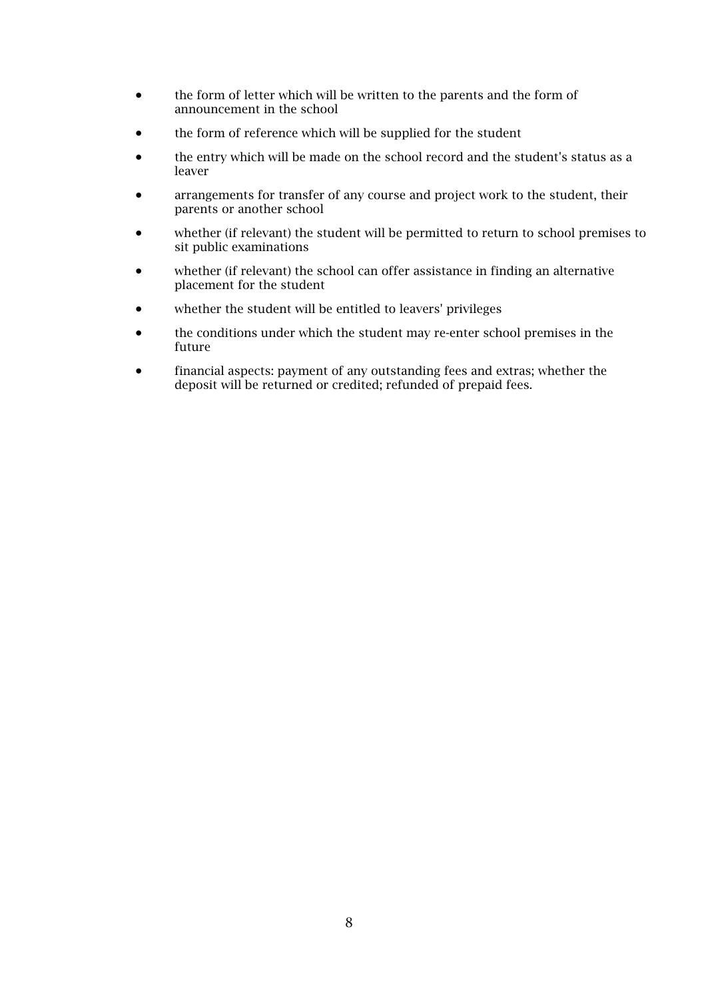- the form of letter which will be written to the parents and the form of announcement in the school
- the form of reference which will be supplied for the student
- the entry which will be made on the school record and the student's status as a leaver
- arrangements for transfer of any course and project work to the student, their parents or another school
- whether (if relevant) the student will be permitted to return to school premises to sit public examinations
- whether (if relevant) the school can offer assistance in finding an alternative placement for the student
- whether the student will be entitled to leavers' privileges
- the conditions under which the student may re-enter school premises in the future
- financial aspects: payment of any outstanding fees and extras; whether the deposit will be returned or credited; refunded of prepaid fees.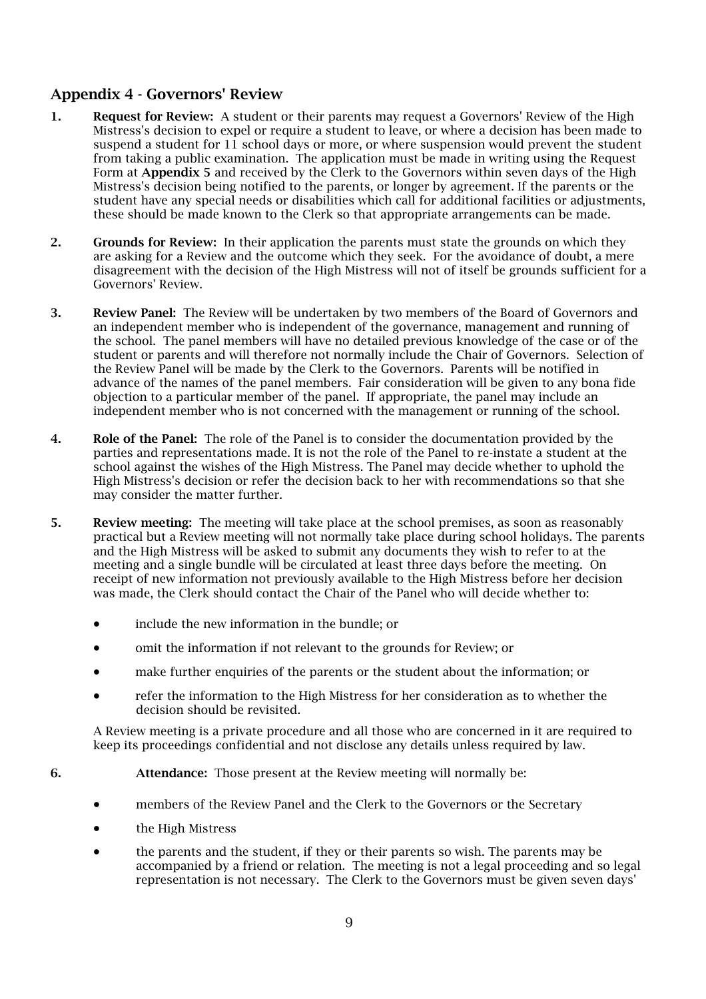#### Appendix 4 - Governors' Review

- 1. Request for Review: A student or their parents may request a Governors' Review of the High Mistress's decision to expel or require a student to leave, or where a decision has been made to suspend a student for 11 school days or more, or where suspension would prevent the student from taking a public examination. The application must be made in writing using the Request Form at Appendix 5 and received by the Clerk to the Governors within seven days of the High Mistress's decision being notified to the parents, or longer by agreement. If the parents or the student have any special needs or disabilities which call for additional facilities or adjustments, these should be made known to the Clerk so that appropriate arrangements can be made.
- 2. Grounds for Review: In their application the parents must state the grounds on which they are asking for a Review and the outcome which they seek. For the avoidance of doubt, a mere disagreement with the decision of the High Mistress will not of itself be grounds sufficient for a Governors' Review.
- 3. Review Panel: The Review will be undertaken by two members of the Board of Governors and an independent member who is independent of the governance, management and running of the school. The panel members will have no detailed previous knowledge of the case or of the student or parents and will therefore not normally include the Chair of Governors. Selection of the Review Panel will be made by the Clerk to the Governors. Parents will be notified in advance of the names of the panel members. Fair consideration will be given to any bona fide objection to a particular member of the panel. If appropriate, the panel may include an independent member who is not concerned with the management or running of the school.
- 4. Role of the Panel: The role of the Panel is to consider the documentation provided by the parties and representations made. It is not the role of the Panel to re-instate a student at the school against the wishes of the High Mistress. The Panel may decide whether to uphold the High Mistress's decision or refer the decision back to her with recommendations so that she may consider the matter further.
- 5. Review meeting: The meeting will take place at the school premises, as soon as reasonably practical but a Review meeting will not normally take place during school holidays. The parents and the High Mistress will be asked to submit any documents they wish to refer to at the meeting and a single bundle will be circulated at least three days before the meeting. On receipt of new information not previously available to the High Mistress before her decision was made, the Clerk should contact the Chair of the Panel who will decide whether to:
	- include the new information in the bundle; or
	- omit the information if not relevant to the grounds for Review; or
	- make further enquiries of the parents or the student about the information; or
	- refer the information to the High Mistress for her consideration as to whether the decision should be revisited.

A Review meeting is a private procedure and all those who are concerned in it are required to keep its proceedings confidential and not disclose any details unless required by law.

- 6. Attendance: Those present at the Review meeting will normally be:
	- members of the Review Panel and the Clerk to the Governors or the Secretary
	- the High Mistress
	- the parents and the student, if they or their parents so wish. The parents may be accompanied by a friend or relation. The meeting is not a legal proceeding and so legal representation is not necessary. The Clerk to the Governors must be given seven days'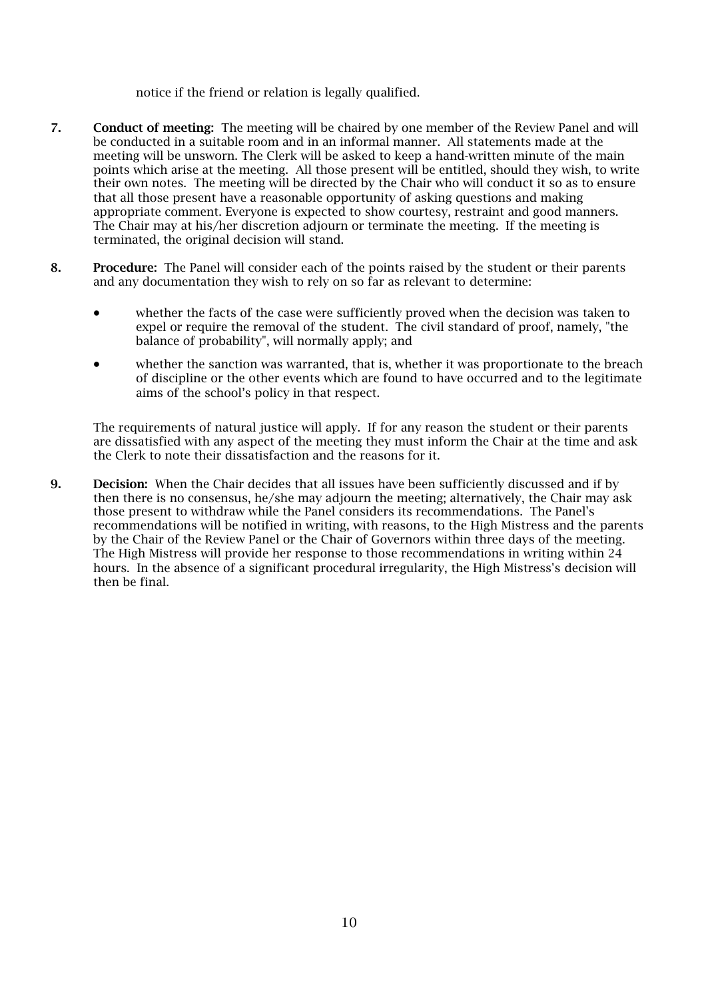notice if the friend or relation is legally qualified.

- 7. Conduct of meeting: The meeting will be chaired by one member of the Review Panel and will be conducted in a suitable room and in an informal manner. All statements made at the meeting will be unsworn. The Clerk will be asked to keep a hand-written minute of the main points which arise at the meeting. All those present will be entitled, should they wish, to write their own notes. The meeting will be directed by the Chair who will conduct it so as to ensure that all those present have a reasonable opportunity of asking questions and making appropriate comment. Everyone is expected to show courtesy, restraint and good manners. The Chair may at his/her discretion adjourn or terminate the meeting. If the meeting is terminated, the original decision will stand.
- 8. Procedure: The Panel will consider each of the points raised by the student or their parents and any documentation they wish to rely on so far as relevant to determine:
	- whether the facts of the case were sufficiently proved when the decision was taken to expel or require the removal of the student. The civil standard of proof, namely, "the balance of probability", will normally apply; and
	- whether the sanction was warranted, that is, whether it was proportionate to the breach of discipline or the other events which are found to have occurred and to the legitimate aims of the school's policy in that respect.

The requirements of natural justice will apply. If for any reason the student or their parents are dissatisfied with any aspect of the meeting they must inform the Chair at the time and ask the Clerk to note their dissatisfaction and the reasons for it.

9. Decision: When the Chair decides that all issues have been sufficiently discussed and if by then there is no consensus, he/she may adjourn the meeting; alternatively, the Chair may ask those present to withdraw while the Panel considers its recommendations. The Panel's recommendations will be notified in writing, with reasons, to the High Mistress and the parents by the Chair of the Review Panel or the Chair of Governors within three days of the meeting. The High Mistress will provide her response to those recommendations in writing within 24 hours. In the absence of a significant procedural irregularity, the High Mistress's decision will then be final.